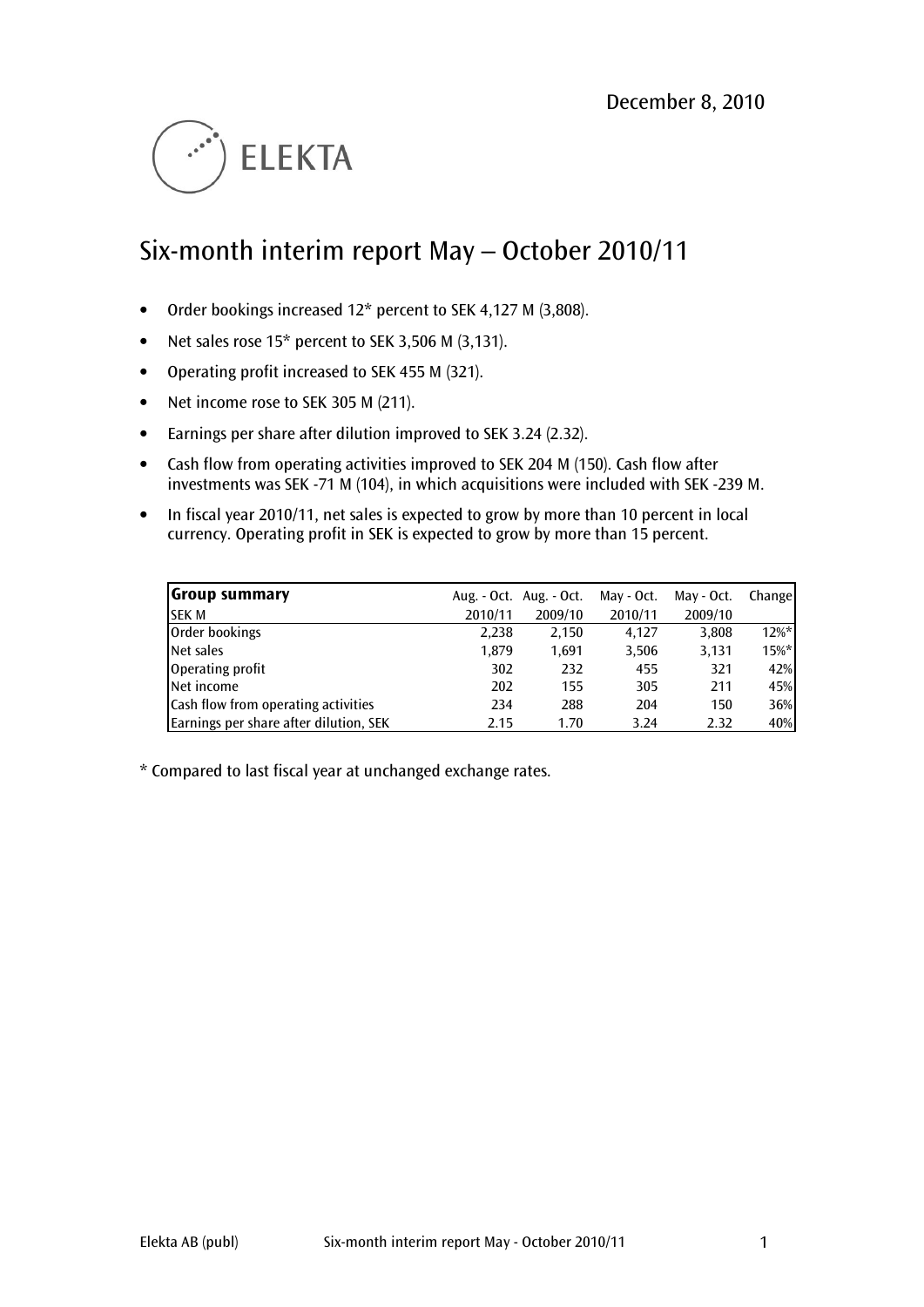

# Six-month interim report May – October 2010/11

- Order bookings increased 12\* percent to SEK 4,127 M (3,808).
- Net sales rose 15\* percent to SEK 3,506 M (3,131).
- Operating profit increased to SEK 455 M (321).
- Net income rose to SEK 305 M (211).
- Earnings per share after dilution improved to SEK 3.24 (2.32).
- Cash flow from operating activities improved to SEK 204 M (150). Cash flow after investments was SEK -71 M (104), in which acquisitions were included with SEK -239 M.
- In fiscal year 2010/11, net sales is expected to grow by more than 10 percent in local currency. Operating profit in SEK is expected to grow by more than 15 percent.

| <b>Group summary</b>                       |         | Aug. $-$ Oct. Aug. $-$ Oct. | May - Oct. | May - Oct. | Change   |
|--------------------------------------------|---------|-----------------------------|------------|------------|----------|
| <b>SEK M</b>                               | 2010/11 | 2009/10                     | 2010/11    | 2009/10    |          |
| Order bookings                             | 2.238   | 2,150                       | 4.127      | 3,808      | $12\%$ * |
| Net sales                                  | 1,879   | 1.691                       | 3,506      | 3,131      | $15%$ *  |
| Operating profit                           | 302     | 232                         | 455        | 321        | 42%      |
| Net income                                 | 202     | 155                         | 305        | 211        | 45%      |
| <b>Cash flow from operating activities</b> | 234     | 288                         | 204        | 150        | 36%      |
| Earnings per share after dilution, SEK     | 2.15    | 1.70                        | 3.24       | 2.32       | 40%      |

\* Compared to last fiscal year at unchanged exchange rates.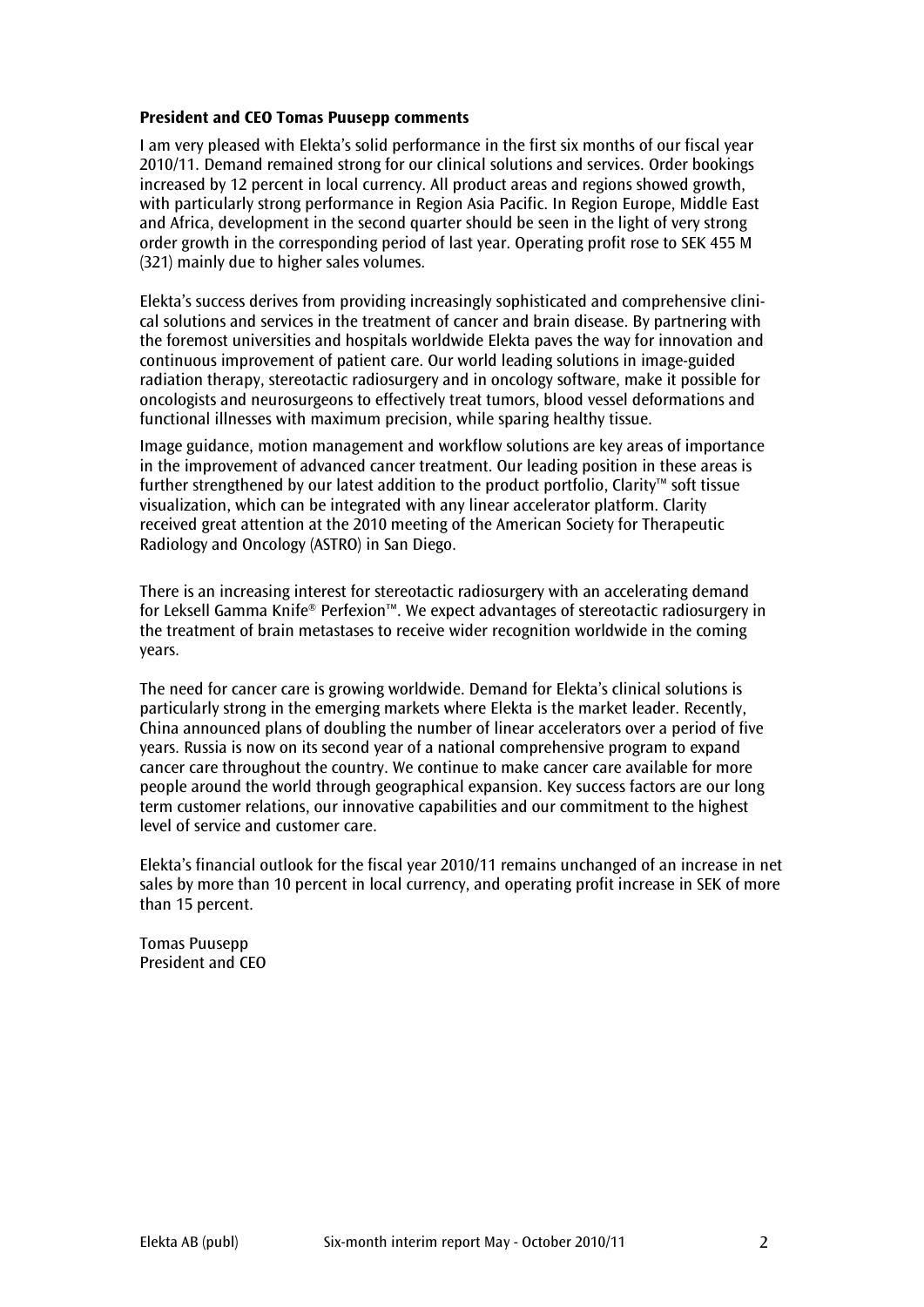### President and CEO Tomas Puusepp comments

I am very pleased with Elekta's solid performance in the first six months of our fiscal year 2010/11. Demand remained strong for our clinical solutions and services. Order bookings increased by 12 percent in local currency. All product areas and regions showed growth, with particularly strong performance in Region Asia Pacific. In Region Europe, Middle East and Africa, development in the second quarter should be seen in the light of very strong order growth in the corresponding period of last year. Operating profit rose to SEK 455 M (321) mainly due to higher sales volumes.

Elekta's success derives from providing increasingly sophisticated and comprehensive clinical solutions and services in the treatment of cancer and brain disease. By partnering with the foremost universities and hospitals worldwide Elekta paves the way for innovation and continuous improvement of patient care. Our world leading solutions in image-guided radiation therapy, stereotactic radiosurgery and in oncology software, make it possible for oncologists and neurosurgeons to effectively treat tumors, blood vessel deformations and functional illnesses with maximum precision, while sparing healthy tissue.

Image guidance, motion management and workflow solutions are key areas of importance in the improvement of advanced cancer treatment. Our leading position in these areas is further strengthened by our latest addition to the product portfolio, Clarity™ soft tissue visualization, which can be integrated with any linear accelerator platform. Clarity received great attention at the 2010 meeting of the American Society for Therapeutic Radiology and Oncology (ASTRO) in San Diego.

There is an increasing interest for stereotactic radiosurgery with an accelerating demand for Leksell Gamma Knife® Perfexion™. We expect advantages of stereotactic radiosurgery in the treatment of brain metastases to receive wider recognition worldwide in the coming years.

The need for cancer care is growing worldwide. Demand for Elekta's clinical solutions is particularly strong in the emerging markets where Elekta is the market leader. Recently, China announced plans of doubling the number of linear accelerators over a period of five years. Russia is now on its second year of a national comprehensive program to expand cancer care throughout the country. We continue to make cancer care available for more people around the world through geographical expansion. Key success factors are our long term customer relations, our innovative capabilities and our commitment to the highest level of service and customer care.

Elekta's financial outlook for the fiscal year 2010/11 remains unchanged of an increase in net sales by more than 10 percent in local currency, and operating profit increase in SEK of more than 15 percent.

Tomas Puusepp President and CEO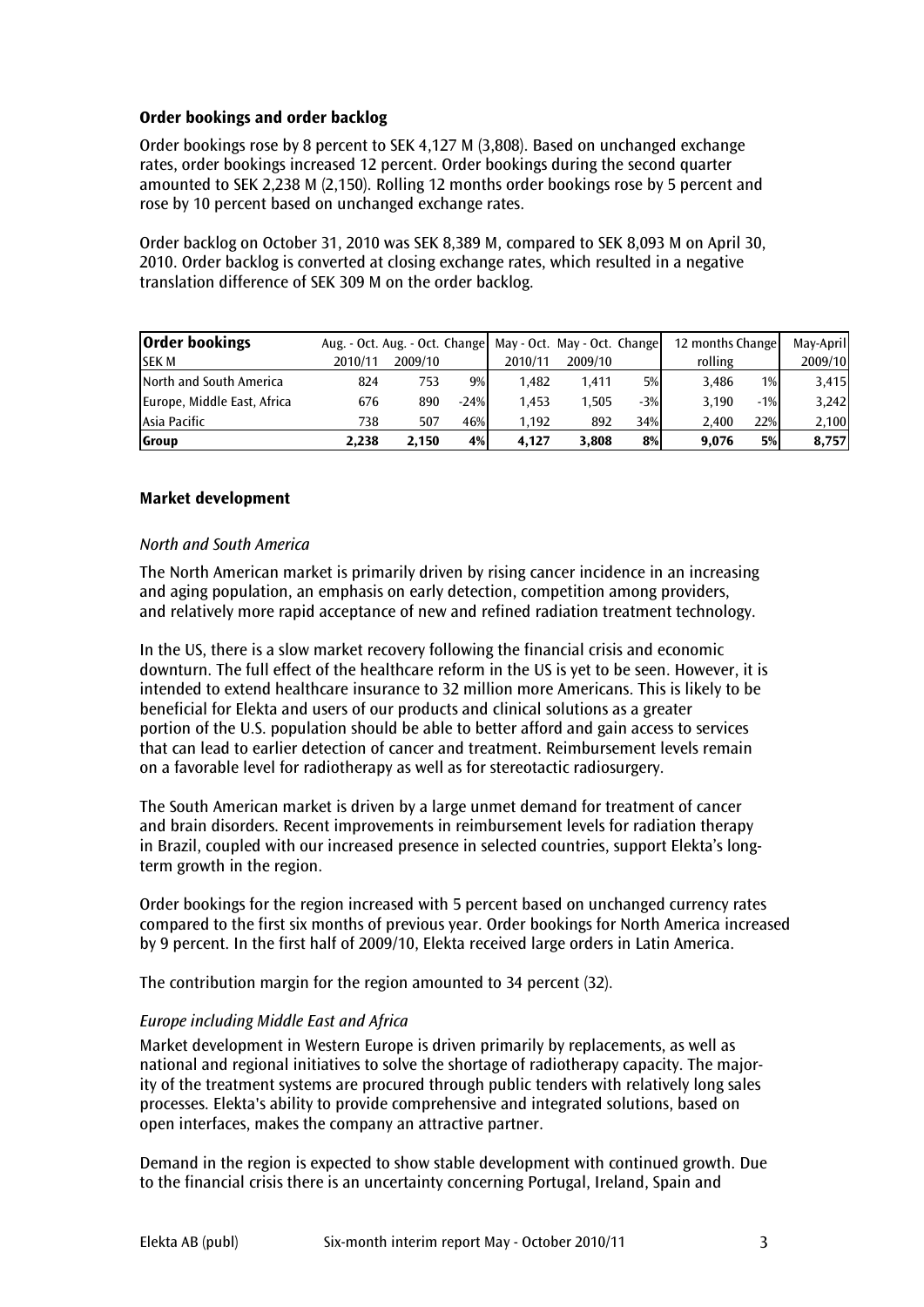## Order bookings and order backlog

Order bookings rose by 8 percent to SEK 4,127 M (3,808). Based on unchanged exchange rates, order bookings increased 12 percent. Order bookings during the second quarter amounted to SEK 2,238 M (2,150). Rolling 12 months order bookings rose by 5 percent and rose by 10 percent based on unchanged exchange rates.

Order backlog on October 31, 2010 was SEK 8,389 M, compared to SEK 8,093 M on April 30, 2010. Order backlog is converted at closing exchange rates, which resulted in a negative translation difference of SEK 309 M on the order backlog.

| <b>Order bookings</b>       | Aug. - Oct. Aug. - Oct. Change   May - Oct. May - Oct. Change |         |        |         |         |       | 12 months Change |       | May-April |
|-----------------------------|---------------------------------------------------------------|---------|--------|---------|---------|-------|------------------|-------|-----------|
| <b>SEK M</b>                | 2010/11                                                       | 2009/10 |        | 2010/11 | 2009/10 |       | rolling          |       | 2009/10   |
| North and South America     | 824                                                           | 753     | $9\%$  | 1.482   | 1.411   | 5%    | 3.486            | $1\%$ | 3,415     |
| Europe, Middle East, Africa | 676                                                           | 890     | $-24%$ | 1.453   | 1.505   | $-3%$ | 3.190            | $-1%$ | 3,242     |
| Asia Pacific                | 738                                                           | 507     | 46%    | 1.192   | 892     | 34%   | 2.400            | 22%   | 2,100     |
| Group                       | 2.238                                                         | 2.150   | 4%     | 4.127   | 3.808   | 8%    | 9.076            | 5%    | 8,757     |

## Market development

## North and South America

The North American market is primarily driven by rising cancer incidence in an increasing and aging population, an emphasis on early detection, competition among providers, and relatively more rapid acceptance of new and refined radiation treatment technology.

In the US, there is a slow market recovery following the financial crisis and economic downturn. The full effect of the healthcare reform in the US is yet to be seen. However, it is intended to extend healthcare insurance to 32 million more Americans. This is likely to be beneficial for Elekta and users of our products and clinical solutions as a greater portion of the U.S. population should be able to better afford and gain access to services that can lead to earlier detection of cancer and treatment. Reimbursement levels remain on a favorable level for radiotherapy as well as for stereotactic radiosurgery.

The South American market is driven by a large unmet demand for treatment of cancer and brain disorders. Recent improvements in reimbursement levels for radiation therapy in Brazil, coupled with our increased presence in selected countries, support Elekta's longterm growth in the region.

Order bookings for the region increased with 5 percent based on unchanged currency rates compared to the first six months of previous year. Order bookings for North America increased by 9 percent. In the first half of 2009/10, Elekta received large orders in Latin America.

The contribution margin for the region amounted to 34 percent (32).

# Europe including Middle East and Africa

Market development in Western Europe is driven primarily by replacements, as well as national and regional initiatives to solve the shortage of radiotherapy capacity. The majority of the treatment systems are procured through public tenders with relatively long sales processes. Elekta's ability to provide comprehensive and integrated solutions, based on open interfaces, makes the company an attractive partner.

Demand in the region is expected to show stable development with continued growth. Due to the financial crisis there is an uncertainty concerning Portugal, Ireland, Spain and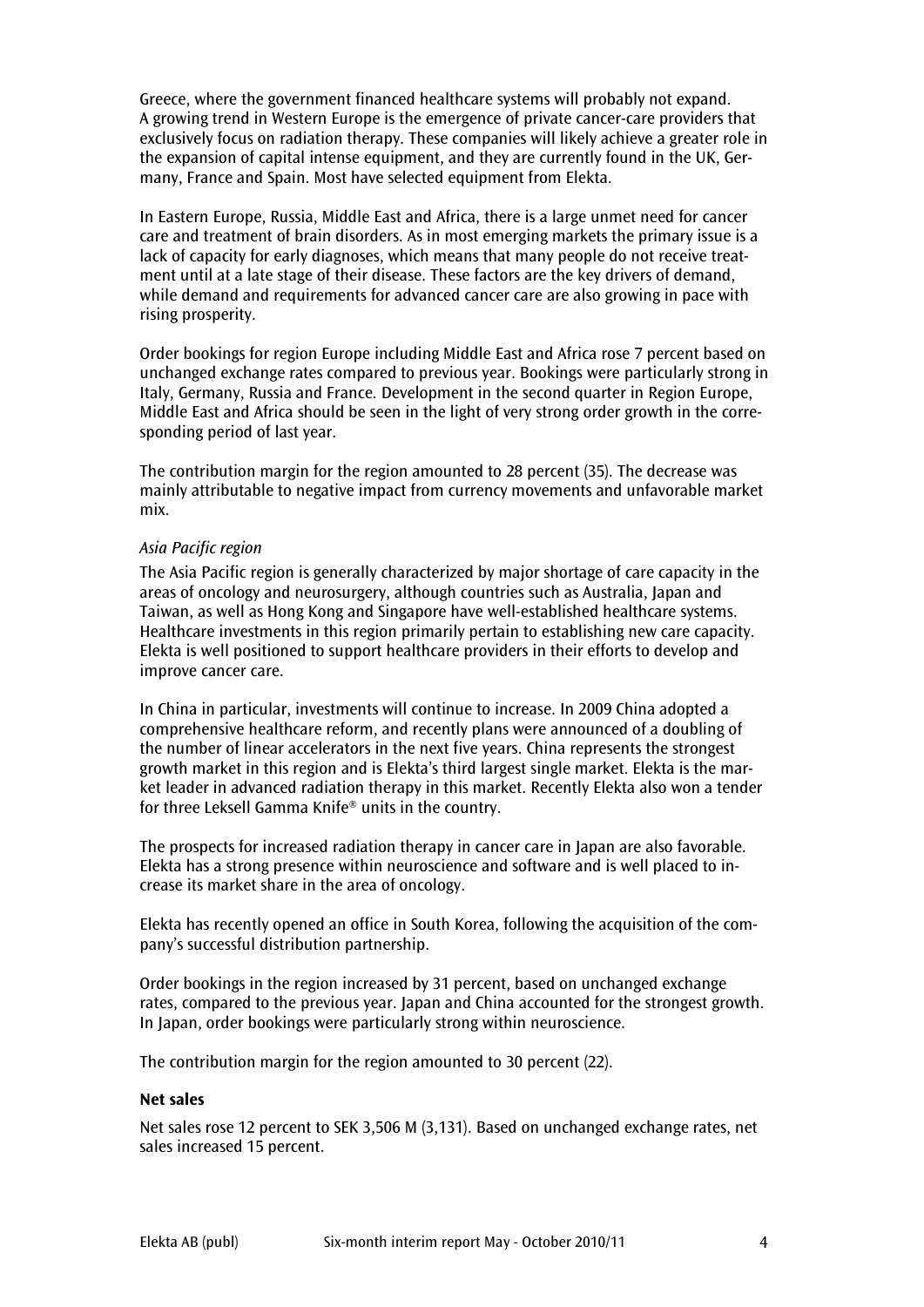Greece, where the government financed healthcare systems will probably not expand. A growing trend in Western Europe is the emergence of private cancer-care providers that exclusively focus on radiation therapy. These companies will likely achieve a greater role in the expansion of capital intense equipment, and they are currently found in the UK, Germany, France and Spain. Most have selected equipment from Elekta.

In Eastern Europe, Russia, Middle East and Africa, there is a large unmet need for cancer care and treatment of brain disorders. As in most emerging markets the primary issue is a lack of capacity for early diagnoses, which means that many people do not receive treatment until at a late stage of their disease. These factors are the key drivers of demand, while demand and requirements for advanced cancer care are also growing in pace with rising prosperity.

Order bookings for region Europe including Middle East and Africa rose 7 percent based on unchanged exchange rates compared to previous year. Bookings were particularly strong in Italy, Germany, Russia and France. Development in the second quarter in Region Europe, Middle East and Africa should be seen in the light of very strong order growth in the corresponding period of last year.

The contribution margin for the region amounted to 28 percent (35). The decrease was mainly attributable to negative impact from currency movements and unfavorable market mix.

## Asia Pacific region

The Asia Pacific region is generally characterized by major shortage of care capacity in the areas of oncology and neurosurgery, although countries such as Australia, Japan and Taiwan, as well as Hong Kong and Singapore have well-established healthcare systems. Healthcare investments in this region primarily pertain to establishing new care capacity. Elekta is well positioned to support healthcare providers in their efforts to develop and improve cancer care.

In China in particular, investments will continue to increase. In 2009 China adopted a comprehensive healthcare reform, and recently plans were announced of a doubling of the number of linear accelerators in the next five years. China represents the strongest growth market in this region and is Elekta's third largest single market. Elekta is the market leader in advanced radiation therapy in this market. Recently Elekta also won a tender for three Leksell Gamma Knife® units in the country.

The prospects for increased radiation therapy in cancer care in Japan are also favorable. Elekta has a strong presence within neuroscience and software and is well placed to increase its market share in the area of oncology.

Elekta has recently opened an office in South Korea, following the acquisition of the company's successful distribution partnership.

Order bookings in the region increased by 31 percent, based on unchanged exchange rates, compared to the previous year. Japan and China accounted for the strongest growth. In Japan, order bookings were particularly strong within neuroscience.

The contribution margin for the region amounted to 30 percent (22).

## Net sales

Net sales rose 12 percent to SEK 3,506 M (3,131). Based on unchanged exchange rates, net sales increased 15 percent.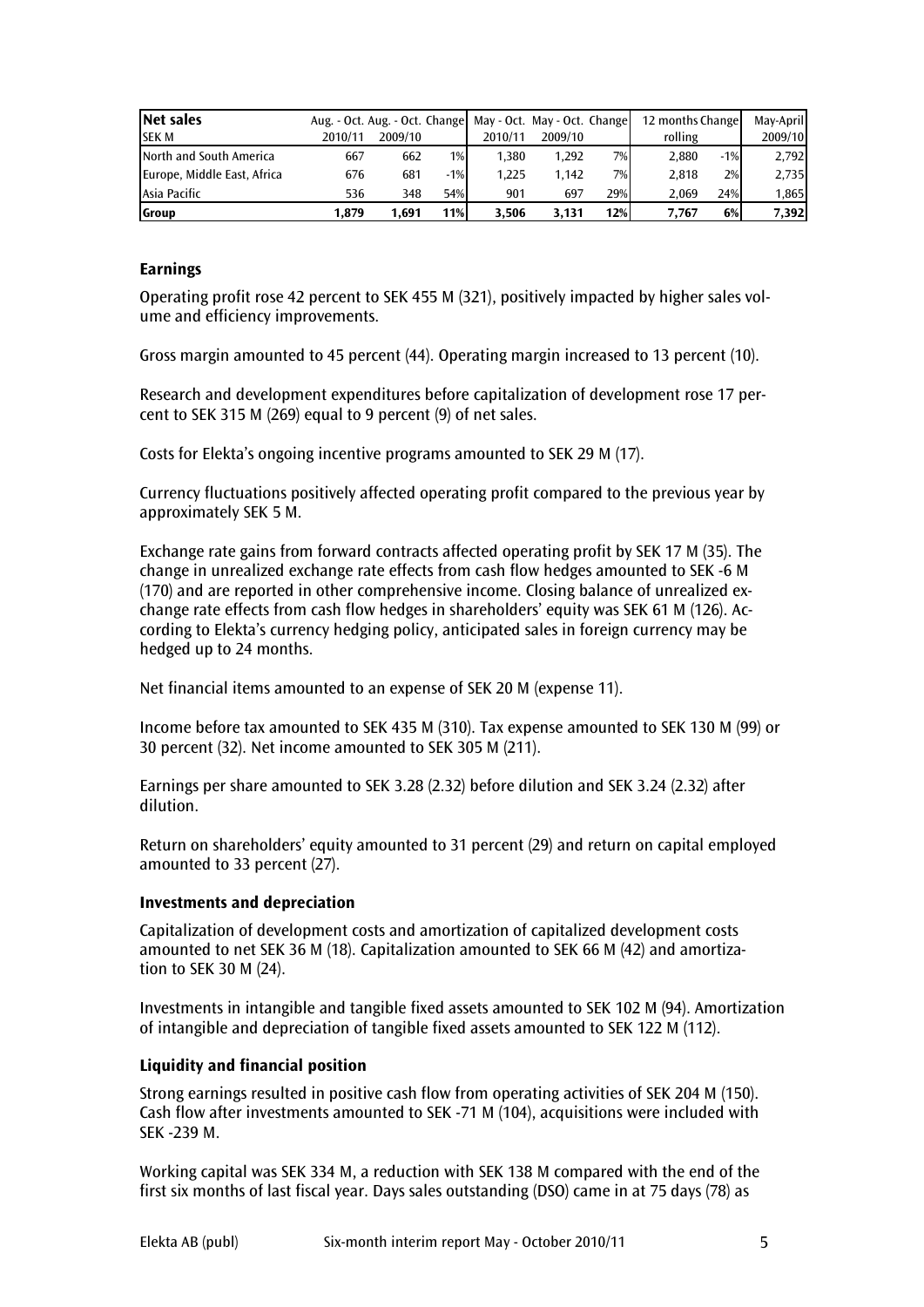| <b>Net sales</b>            | Aug. - Oct. Aug. - Oct. Change |         |       | May - Oct. May - Oct. Change |         |     | 12 months Change |        | May-April |
|-----------------------------|--------------------------------|---------|-------|------------------------------|---------|-----|------------------|--------|-----------|
| <b>SEK M</b>                | 2010/11                        | 2009/10 |       | 2010/11                      | 2009/10 |     | rolling          |        | 2009/10   |
| North and South America     | 667                            | 662     | 1%    | 1.380                        | 1.292   | 7%  | 2,880            | $-1\%$ | 2,792     |
| Europe, Middle East, Africa | 676                            | 681     | $-1%$ | 1.225                        | 1.142   | 7%  | 2.818            | 2%     | 2,735     |
| Asia Pacific                | 536                            | 348     | 54%   | 901                          | 697     | 29% | 2.069            | 24%    | 1,865     |
| <b>S</b> roup               | 1.879                          | 1.691   | 11%   | 3.506                        | 3.131   | 12% | 7.767            | 6%     | 7,392     |

## **Earnings**

Operating profit rose 42 percent to SEK 455 M (321), positively impacted by higher sales volume and efficiency improvements.

Gross margin amounted to 45 percent (44). Operating margin increased to 13 percent (10).

Research and development expenditures before capitalization of development rose 17 percent to SEK 315 M (269) equal to 9 percent (9) of net sales.

Costs for Elekta's ongoing incentive programs amounted to SEK 29 M (17).

Currency fluctuations positively affected operating profit compared to the previous year by approximately SEK 5 M.

Exchange rate gains from forward contracts affected operating profit by SEK 17 M (35). The change in unrealized exchange rate effects from cash flow hedges amounted to SEK -6 M (170) and are reported in other comprehensive income. Closing balance of unrealized exchange rate effects from cash flow hedges in shareholders' equity was SEK 61 M (126). According to Elekta's currency hedging policy, anticipated sales in foreign currency may be hedged up to 24 months.

Net financial items amounted to an expense of SEK 20 M (expense 11).

Income before tax amounted to SEK 435 M (310). Tax expense amounted to SEK 130 M (99) or 30 percent (32). Net income amounted to SEK 305 M (211).

Earnings per share amounted to SEK 3.28 (2.32) before dilution and SEK 3.24 (2.32) after dilution.

Return on shareholders' equity amounted to 31 percent (29) and return on capital employed amounted to 33 percent (27).

## Investments and depreciation

Capitalization of development costs and amortization of capitalized development costs amounted to net SEK 36 M (18). Capitalization amounted to SEK 66 M (42) and amortization to SEK 30 M (24).

Investments in intangible and tangible fixed assets amounted to SEK 102 M (94). Amortization of intangible and depreciation of tangible fixed assets amounted to SEK 122 M (112).

## Liquidity and financial position

Strong earnings resulted in positive cash flow from operating activities of SEK 204 M (150). Cash flow after investments amounted to SEK -71 M (104), acquisitions were included with SEK -239 M.

Working capital was SEK 334 M, a reduction with SEK 138 M compared with the end of the first six months of last fiscal year. Days sales outstanding (DSO) came in at 75 days (78) as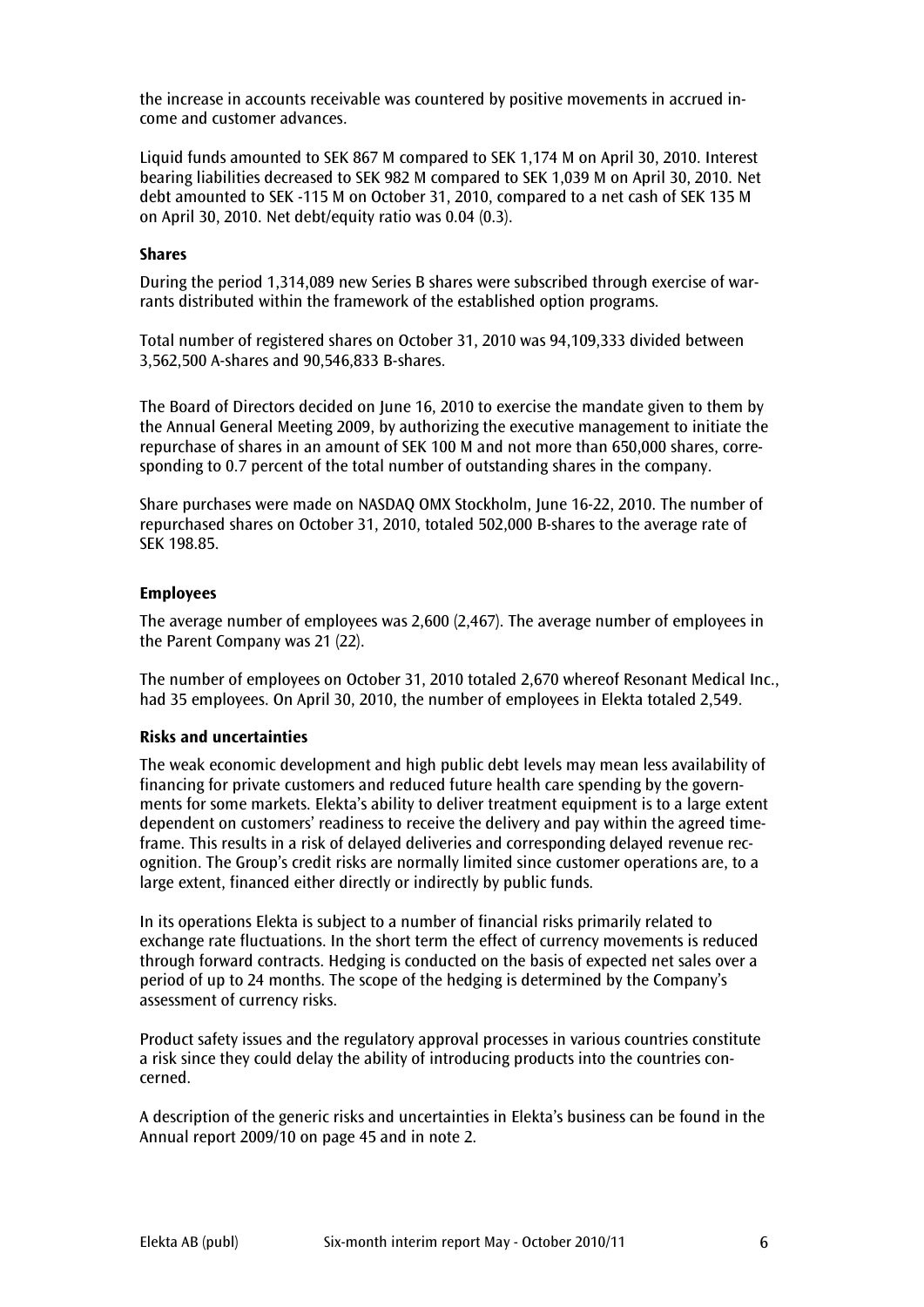the increase in accounts receivable was countered by positive movements in accrued income and customer advances.

Liquid funds amounted to SEK 867 M compared to SEK 1,174 M on April 30, 2010. Interest bearing liabilities decreased to SEK 982 M compared to SEK 1,039 M on April 30, 2010. Net debt amounted to SEK -115 M on October 31, 2010, compared to a net cash of SEK 135 M on April 30, 2010. Net debt/equity ratio was 0.04 (0.3).

#### Shares

During the period 1,314,089 new Series B shares were subscribed through exercise of warrants distributed within the framework of the established option programs.

Total number of registered shares on October 31, 2010 was 94,109,333 divided between 3,562,500 A-shares and 90,546,833 B-shares.

The Board of Directors decided on June 16, 2010 to exercise the mandate given to them by the Annual General Meeting 2009, by authorizing the executive management to initiate the repurchase of shares in an amount of SEK 100 M and not more than 650,000 shares, corresponding to 0.7 percent of the total number of outstanding shares in the company.

Share purchases were made on NASDAQ OMX Stockholm, June 16-22, 2010. The number of repurchased shares on October 31, 2010, totaled 502,000 B-shares to the average rate of SEK 198.85.

#### Employees

The average number of employees was 2,600 (2,467). The average number of employees in the Parent Company was 21 (22).

The number of employees on October 31, 2010 totaled 2,670 whereof Resonant Medical Inc., had 35 employees. On April 30, 2010, the number of employees in Elekta totaled 2,549.

#### Risks and uncertainties

The weak economic development and high public debt levels may mean less availability of financing for private customers and reduced future health care spending by the governments for some markets. Elekta's ability to deliver treatment equipment is to a large extent dependent on customers' readiness to receive the delivery and pay within the agreed timeframe. This results in a risk of delayed deliveries and corresponding delayed revenue recognition. The Group's credit risks are normally limited since customer operations are, to a large extent, financed either directly or indirectly by public funds.

In its operations Elekta is subject to a number of financial risks primarily related to exchange rate fluctuations. In the short term the effect of currency movements is reduced through forward contracts. Hedging is conducted on the basis of expected net sales over a period of up to 24 months. The scope of the hedging is determined by the Company's assessment of currency risks.

Product safety issues and the regulatory approval processes in various countries constitute a risk since they could delay the ability of introducing products into the countries concerned.

A description of the generic risks and uncertainties in Elekta's business can be found in the Annual report 2009/10 on page 45 and in note 2.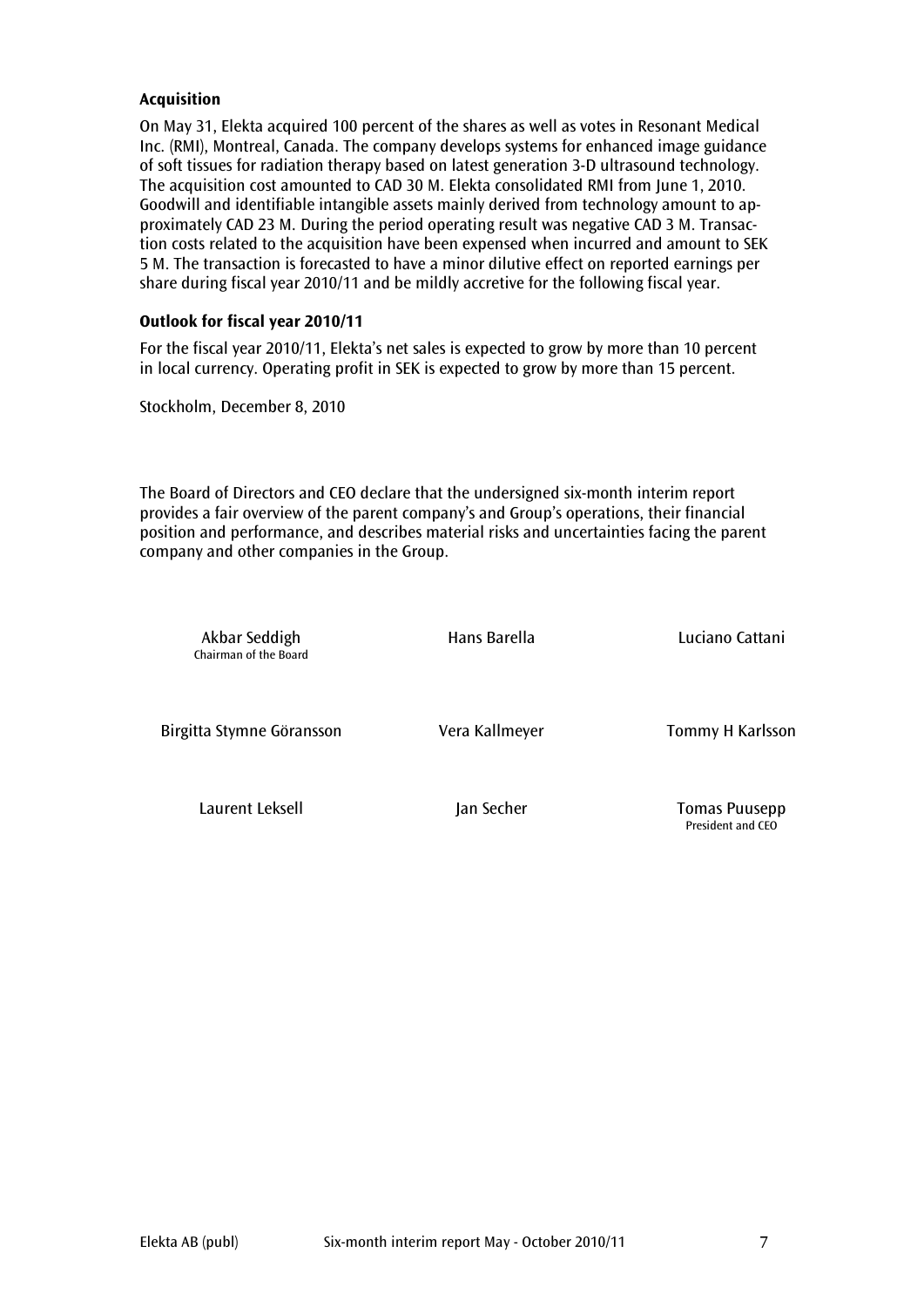## Acquisition

On May 31, Elekta acquired 100 percent of the shares as well as votes in Resonant Medical Inc. (RMI), Montreal, Canada. The company develops systems for enhanced image guidance of soft tissues for radiation therapy based on latest generation 3-D ultrasound technology. The acquisition cost amounted to CAD 30 M. Elekta consolidated RMI from June 1, 2010. Goodwill and identifiable intangible assets mainly derived from technology amount to approximately CAD 23 M. During the period operating result was negative CAD 3 M. Transaction costs related to the acquisition have been expensed when incurred and amount to SEK 5 M. The transaction is forecasted to have a minor dilutive effect on reported earnings per share during fiscal year 2010/11 and be mildly accretive for the following fiscal year.

## Outlook for fiscal year 2010/11

For the fiscal year 2010/11, Elekta's net sales is expected to grow by more than 10 percent in local currency. Operating profit in SEK is expected to grow by more than 15 percent.

Stockholm, December 8, 2010

The Board of Directors and CEO declare that the undersigned six-month interim report provides a fair overview of the parent company's and Group's operations, their financial position and performance, and describes material risks and uncertainties facing the parent company and other companies in the Group.

| Akbar Seddigh<br>Chairman of the Board | Hans Barella   | Luciano Cattani                           |
|----------------------------------------|----------------|-------------------------------------------|
| Birgitta Stymne Göransson              | Vera Kallmeyer | Tommy H Karlsson                          |
| Laurent Leksell                        | Jan Secher     | <b>Tomas Puusepp</b><br>President and CEO |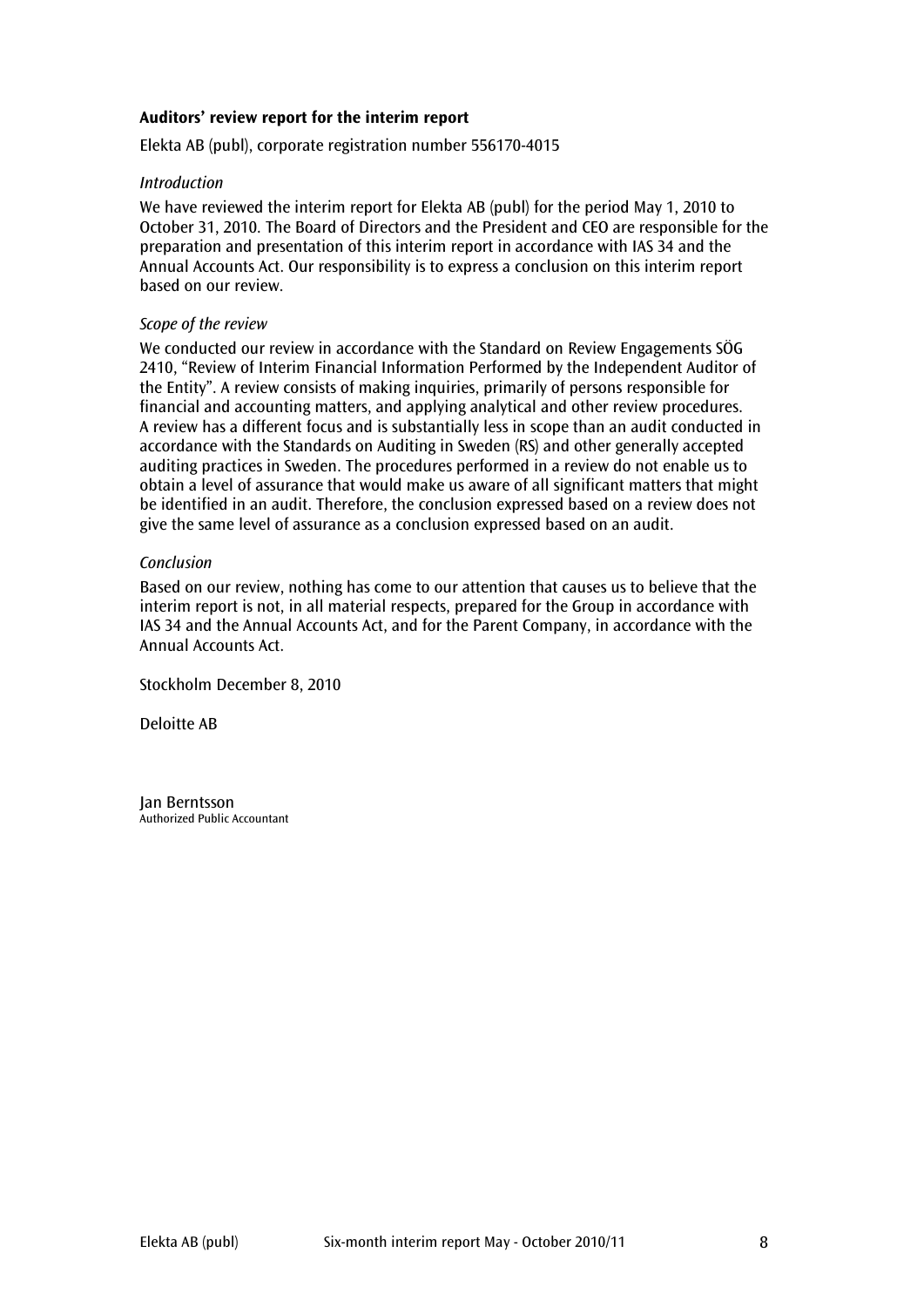## Auditors' review report for the interim report

Elekta AB (publ), corporate registration number 556170-4015

## Introduction

We have reviewed the interim report for Elekta AB (publ) for the period May 1, 2010 to October 31, 2010. The Board of Directors and the President and CEO are responsible for the preparation and presentation of this interim report in accordance with IAS 34 and the Annual Accounts Act. Our responsibility is to express a conclusion on this interim report based on our review.

## Scope of the review

We conducted our review in accordance with the Standard on Review Engagements SÖG 2410, "Review of Interim Financial Information Performed by the Independent Auditor of the Entity". A review consists of making inquiries, primarily of persons responsible for financial and accounting matters, and applying analytical and other review procedures. A review has a different focus and is substantially less in scope than an audit conducted in accordance with the Standards on Auditing in Sweden (RS) and other generally accepted auditing practices in Sweden. The procedures performed in a review do not enable us to obtain a level of assurance that would make us aware of all significant matters that might be identified in an audit. Therefore, the conclusion expressed based on a review does not give the same level of assurance as a conclusion expressed based on an audit.

## **Conclusion**

Based on our review, nothing has come to our attention that causes us to believe that the interim report is not, in all material respects, prepared for the Group in accordance with IAS 34 and the Annual Accounts Act, and for the Parent Company, in accordance with the Annual Accounts Act.

Stockholm December 8, 2010

Deloitte AB

Jan Berntsson Authorized Public Accountant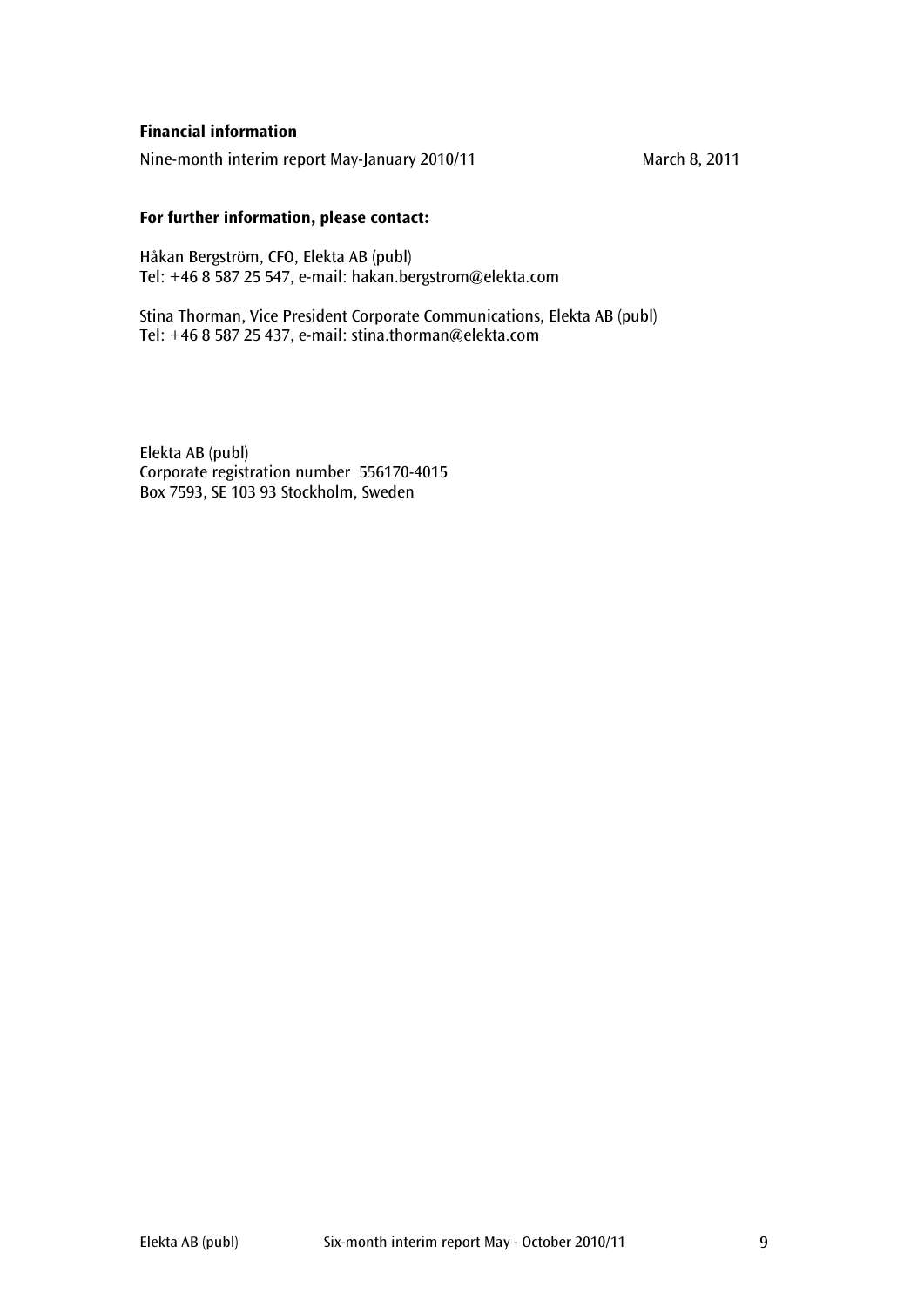# Financial information

Nine-month interim report May-January 2010/11 March 8, 2011

## For further information, please contact:

Håkan Bergström, CFO, Elekta AB (publ) Tel: +46 8 587 25 547, e-mail: hakan.bergstrom@elekta.com

Stina Thorman, Vice President Corporate Communications, Elekta AB (publ) Tel: +46 8 587 25 437, e-mail: stina.thorman@elekta.com

Elekta AB (publ) Corporate registration number 556170-4015 Box 7593, SE 103 93 Stockholm, Sweden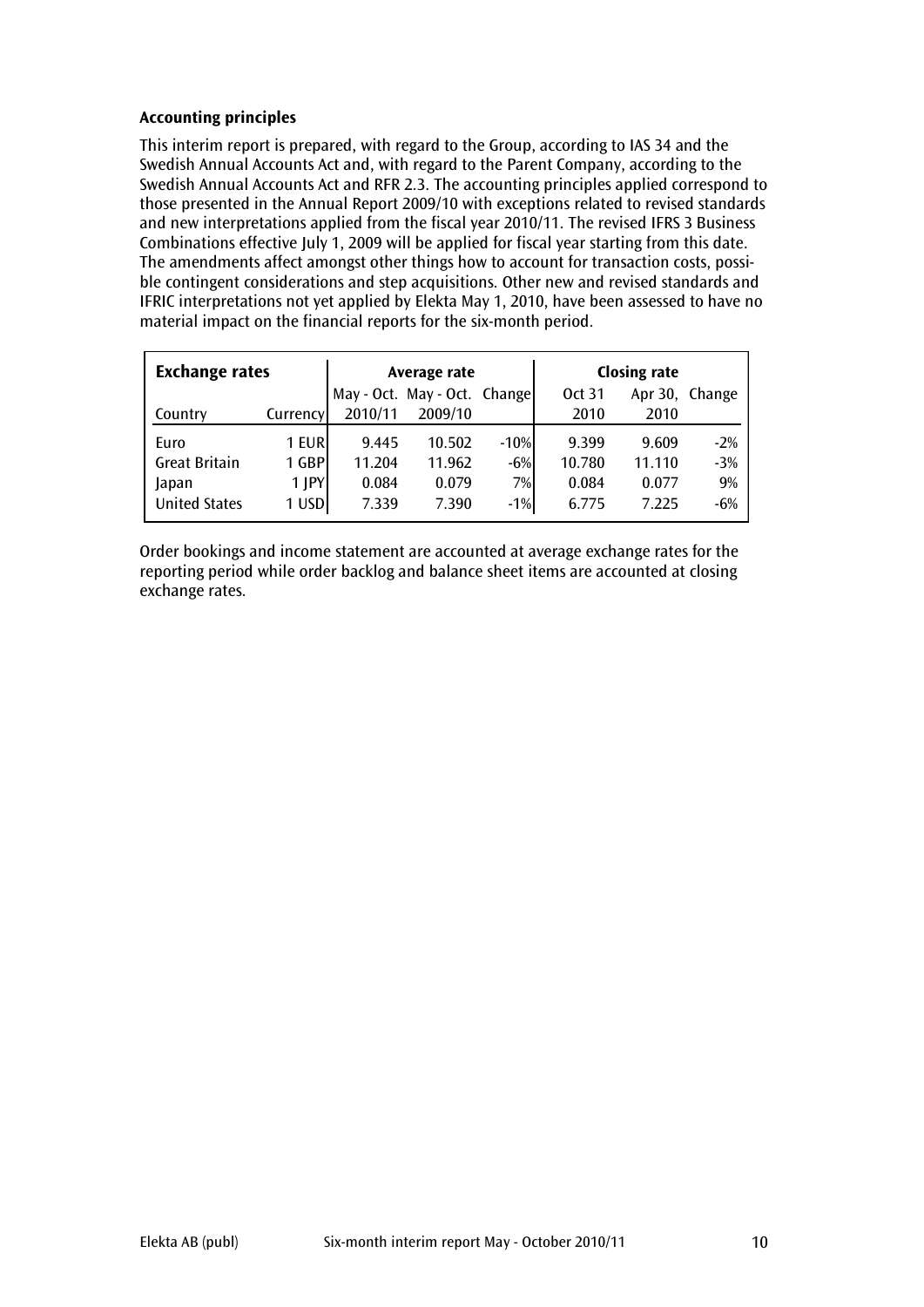# Accounting principles

This interim report is prepared, with regard to the Group, according to IAS 34 and the Swedish Annual Accounts Act and, with regard to the Parent Company, according to the Swedish Annual Accounts Act and RFR 2.3. The accounting principles applied correspond to those presented in the Annual Report 2009/10 with exceptions related to revised standards and new interpretations applied from the fiscal year 2010/11. The revised IFRS 3 Business Combinations effective July 1, 2009 will be applied for fiscal year starting from this date. The amendments affect amongst other things how to account for transaction costs, possible contingent considerations and step acquisitions. Other new and revised standards and IFRIC interpretations not yet applied by Elekta May 1, 2010, have been assessed to have no material impact on the financial reports for the six-month period.

| <b>Exchange rates</b> |            |         | Average rate                 |        | <b>Closing rate</b> |        |                |  |
|-----------------------|------------|---------|------------------------------|--------|---------------------|--------|----------------|--|
|                       |            |         | May - Oct. May - Oct. Change |        | Oct 31              |        | Apr 30, Change |  |
| Country               | Currency   | 2010/11 | 2009/10                      |        | 2010                | 2010   |                |  |
| Euro                  | 1 EUR      | 9.445   | 10.502                       | $-10%$ | 9.399               | 9.609  | $-2%$          |  |
| <b>Great Britain</b>  | 1 GBP      | 11.204  | 11.962                       | $-6%$  | 10.780              | 11.110 | $-3%$          |  |
| Japan                 | $1$ $ PY $ | 0.084   | 0.079                        | 7%     | 0.084               | 0.077  | 9%             |  |
| <b>United States</b>  | 1 USD      | 7.339   | 7.390                        | $-1%$  | 6.775               | 7.225  | $-6%$          |  |

Order bookings and income statement are accounted at average exchange rates for the reporting period while order backlog and balance sheet items are accounted at closing exchange rates.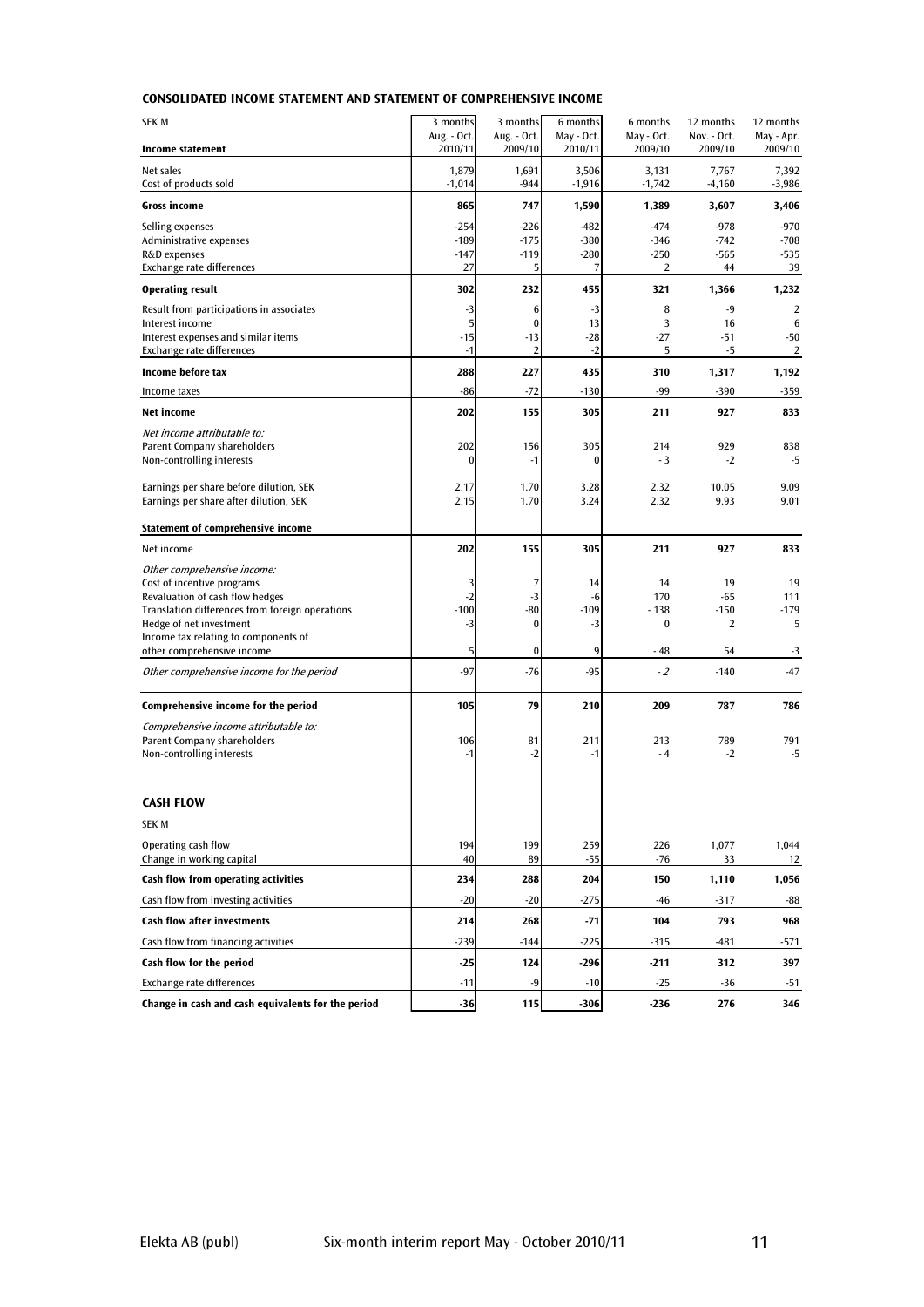## CONSOLIDATED INCOME STATEMENT AND STATEMENT OF COMPREHENSIVE INCOME

| SEK M                                                                              | 3 months               | 3 months               | 6 months              | 6 months              | 12 months              | 12 months               |
|------------------------------------------------------------------------------------|------------------------|------------------------|-----------------------|-----------------------|------------------------|-------------------------|
| <b>Income statement</b>                                                            | Aug. - Oct.<br>2010/11 | Aug. - Oct.<br>2009/10 | May - Oct.<br>2010/11 | May - Oct.<br>2009/10 | Nov. - Oct.<br>2009/10 | May - Apr.<br>2009/10   |
| Net sales                                                                          | 1,879                  | 1,691                  | 3,506                 | 3,131                 | 7,767                  | 7,392                   |
| Cost of products sold                                                              | $-1,014$               | $-944$                 | $-1,916$              | $-1,742$              | $-4,160$               | $-3,986$                |
| <b>Gross income</b>                                                                | 865                    | 747                    | 1,590                 | 1,389                 | 3,607                  | 3,406                   |
| Selling expenses                                                                   | $-254$                 | $-226$                 | $-482$                | $-474$                | $-978$                 | $-970$                  |
| Administrative expenses<br>R&D expenses                                            | $-189$<br>$-147$       | $-175$<br>$-119$       | $-380$<br>$-280$      | $-346$<br>$-250$      | $-742$<br>$-565$       | $-708$<br>$-535$        |
| Exchange rate differences                                                          | 27                     | 5                      | 7                     | $\overline{2}$        | 44                     | 39                      |
| <b>Operating result</b>                                                            | 302                    | 232                    | 455                   | 321                   | 1,366                  | 1,232                   |
| Result from participations in associates                                           | -3                     | 6                      | $-3$                  | 8                     | $-9$                   | 2                       |
| Interest income                                                                    | $\mathbf{5}$           | $\bf{0}$               | 13                    | 3                     | 16                     | 6                       |
| Interest expenses and similar items<br>Exchange rate differences                   | $-15$<br>$-1$          | $-13$<br>2             | $-28$<br>$-2$         | $-27$<br>5            | $-51$<br>$-5$          | $-50$<br>$\overline{2}$ |
| Income before tax                                                                  | 288                    | 227                    | 435                   | 310                   | 1,317                  | 1,192                   |
| Income taxes                                                                       | $-86$                  | $-72$                  | $-130$                | $-99$                 | -390                   | $-359$                  |
| <b>Net income</b>                                                                  | 202                    | 155                    | 305                   | 211                   | 927                    | 833                     |
| Net income attributable to:                                                        |                        |                        |                       |                       |                        |                         |
| Parent Company shareholders                                                        | 202                    | 156                    | 305                   | 214                   | 929                    | 838                     |
| Non-controlling interests                                                          | 0                      | $-1$                   | $\bf{0}$              | $-3$                  | $-2$                   | -5                      |
| Earnings per share before dilution, SEK                                            | 2.17                   | 1.70                   | 3.28                  | 2.32                  | 10.05                  | 9.09                    |
| Earnings per share after dilution, SEK                                             | 2.15                   | 1.70                   | 3.24                  | 2.32                  | 9.93                   | 9.01                    |
| Statement of comprehensive income                                                  |                        |                        |                       |                       |                        |                         |
| Net income                                                                         | 202                    | 155                    | 305                   | 211                   | 927                    | 833                     |
| Other comprehensive income:                                                        |                        |                        |                       |                       |                        |                         |
| Cost of incentive programs                                                         | 3                      | 7                      | 14                    | 14                    | 19                     | 19                      |
| Revaluation of cash flow hedges<br>Translation differences from foreign operations | $-2$<br>$-100$         | $-3$<br>$-80$          | -6<br>$-109$          | 170<br>$-138$         | $-65$<br>$-150$        | 111<br>$-179$           |
| Hedge of net investment                                                            | $-3$                   | $\bf{0}$               | $-3$                  | $\bf{0}$              | 2                      | 5                       |
| Income tax relating to components of<br>other comprehensive income                 | 5                      | 0                      | 9                     | - 48                  | 54                     | $-3$                    |
| Other comprehensive income for the period                                          | $-97$                  | $-76$                  | $-95$                 | $-2$                  | $-140$                 | $-47$                   |
|                                                                                    |                        |                        |                       |                       |                        |                         |
| Comprehensive income for the period                                                | 105                    | 79                     | 210                   | 209                   | 787                    | 786                     |
| Comprehensive income attributable to:                                              |                        |                        |                       |                       |                        |                         |
| Parent Company shareholders<br>Non-controlling interests                           | 106<br>$-1$            | 81<br>$-2$             | 211<br>$-1$           | 213<br>$-4$           | 789<br>$-2$            | 791<br>$-5$             |
|                                                                                    |                        |                        |                       |                       |                        |                         |
| <b>CASH FLOW</b>                                                                   |                        |                        |                       |                       |                        |                         |
| <b>SEK M</b>                                                                       |                        |                        |                       |                       |                        |                         |
| Operating cash flow                                                                | 194                    | 199                    | 259                   | 226                   | 1,077                  | 1,044                   |
| Change in working capital                                                          | 40                     | 89                     | $-55$                 | $-76$                 | 33                     | 12                      |
| Cash flow from operating activities                                                | 234                    | 288                    | 204                   | 150                   | 1,110                  | 1,056                   |
| Cash flow from investing activities                                                | $-20$                  | $-20$                  | $-275$                | -46                   | -317                   | -88                     |
| <b>Cash flow after investments</b>                                                 | 214                    | 268                    | $-71$                 | 104                   | 793                    | 968                     |
| Cash flow from financing activities                                                | $-239$                 | $-144$                 | $-225$                | $-315$                | $-481$                 | $-571$                  |
| Cash flow for the period                                                           | $-25$                  | 124                    | $-296$                | $-211$                | 312                    | 397                     |
| Exchange rate differences                                                          | $-11$                  | $-9$                   | $-10$                 | $-25$                 | $-36$                  | $-51$                   |
| Change in cash and cash equivalents for the period                                 | $-36$                  | 115                    | $-306$                | $-236$                | 276                    | 346                     |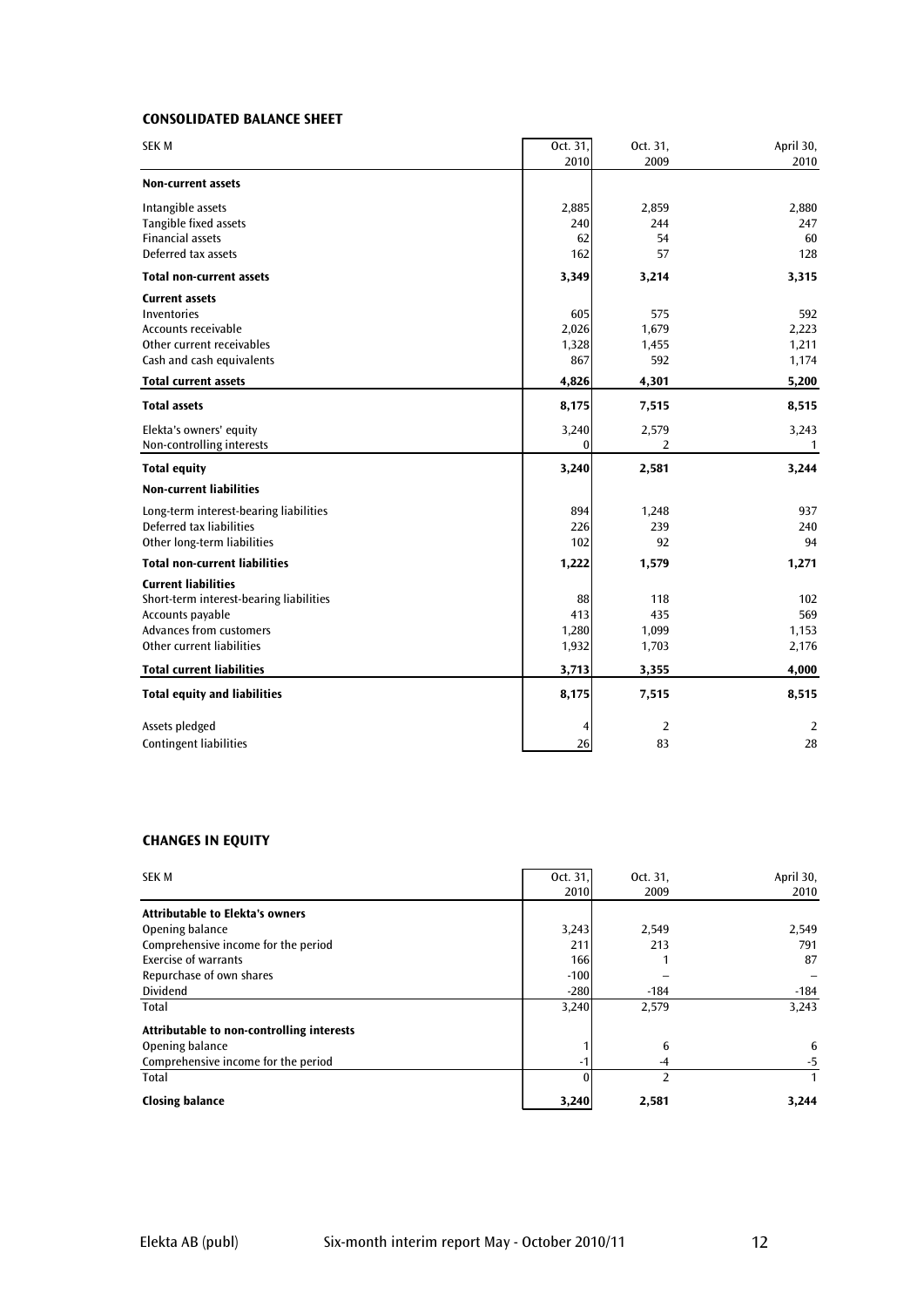## CONSOLIDATED BALANCE SHEET

| <b>SEKM</b>                             | Oct. 31,     | Oct. 31,       | April 30,    |
|-----------------------------------------|--------------|----------------|--------------|
|                                         | 2010         | 2009           | 2010         |
| <b>Non-current assets</b>               |              |                |              |
| Intangible assets                       | 2,885        | 2,859          | 2,880        |
| Tangible fixed assets                   | 240          | 244            | 247          |
| <b>Financial assets</b>                 | 62           | 54             | 60           |
| Deferred tax assets                     | 162          | 57             | 128          |
| <b>Total non-current assets</b>         | 3,349        | 3,214          | 3,315        |
| <b>Current assets</b>                   |              |                |              |
| Inventories                             | 605          | 575            | 592          |
| Accounts receivable                     | 2,026        | 1,679          | 2,223        |
| Other current receivables               | 1,328        | 1,455          | 1,211        |
| Cash and cash equivalents               | 867          | 592            | 1,174        |
| <b>Total current assets</b>             | 4,826        | 4,301          | 5,200        |
| <b>Total assets</b>                     | 8,175        | 7,515          | 8,515        |
| Elekta's owners' equity                 | 3,240        | 2,579          | 3,243        |
| Non-controlling interests               | $\mathbf{0}$ | 2              | $\mathbf{1}$ |
| <b>Total equity</b>                     | 3,240        | 2,581          | 3,244        |
| <b>Non-current liabilities</b>          |              |                |              |
| Long-term interest-bearing liabilities  | 894          | 1,248          | 937          |
| Deferred tax liabilities                | 226          | 239            | 240          |
| Other long-term liabilities             | 102          | 92             | 94           |
| <b>Total non-current liabilities</b>    | 1,222        | 1,579          | 1,271        |
| <b>Current liabilities</b>              |              |                |              |
| Short-term interest-bearing liabilities | 88           | 118            | 102          |
| Accounts payable                        | 413          | 435            | 569          |
| Advances from customers                 | 1,280        | 1,099          | 1,153        |
| Other current liabilities               | 1,932        | 1,703          | 2,176        |
| <b>Total current liabilities</b>        | 3,713        | 3,355          | 4,000        |
| <b>Total equity and liabilities</b>     | 8,175        | 7,515          | 8,515        |
| Assets pledged                          | 4            | $\overline{2}$ | 2            |
| <b>Contingent liabilities</b>           | 26           | 83             | 28           |

## CHANGES IN EQUITY

| <b>SEK M</b>                              | Oct. 31,<br>2010 | Oct. 31,<br>2009 | April 30,<br>2010 |
|-------------------------------------------|------------------|------------------|-------------------|
| <b>Attributable to Elekta's owners</b>    |                  |                  |                   |
| Opening balance                           | 3,243            | 2,549            | 2,549             |
| Comprehensive income for the period       | 211              | 213              | 791               |
| Exercise of warrants                      | 166              |                  | 87                |
| Repurchase of own shares                  | $-100$           |                  |                   |
| <b>Dividend</b>                           | $-280$           | $-184$           | $-184$            |
| Total                                     | 3,240            | 2,579            | 3,243             |
| Attributable to non-controlling interests |                  |                  |                   |
| Opening balance                           |                  | 6                | 6                 |
| Comprehensive income for the period       | -1               | $-4$             | -5                |
| Total                                     |                  | 2                | 1                 |
| <b>Closing balance</b>                    | 3,240            | 2,581            | 3,244             |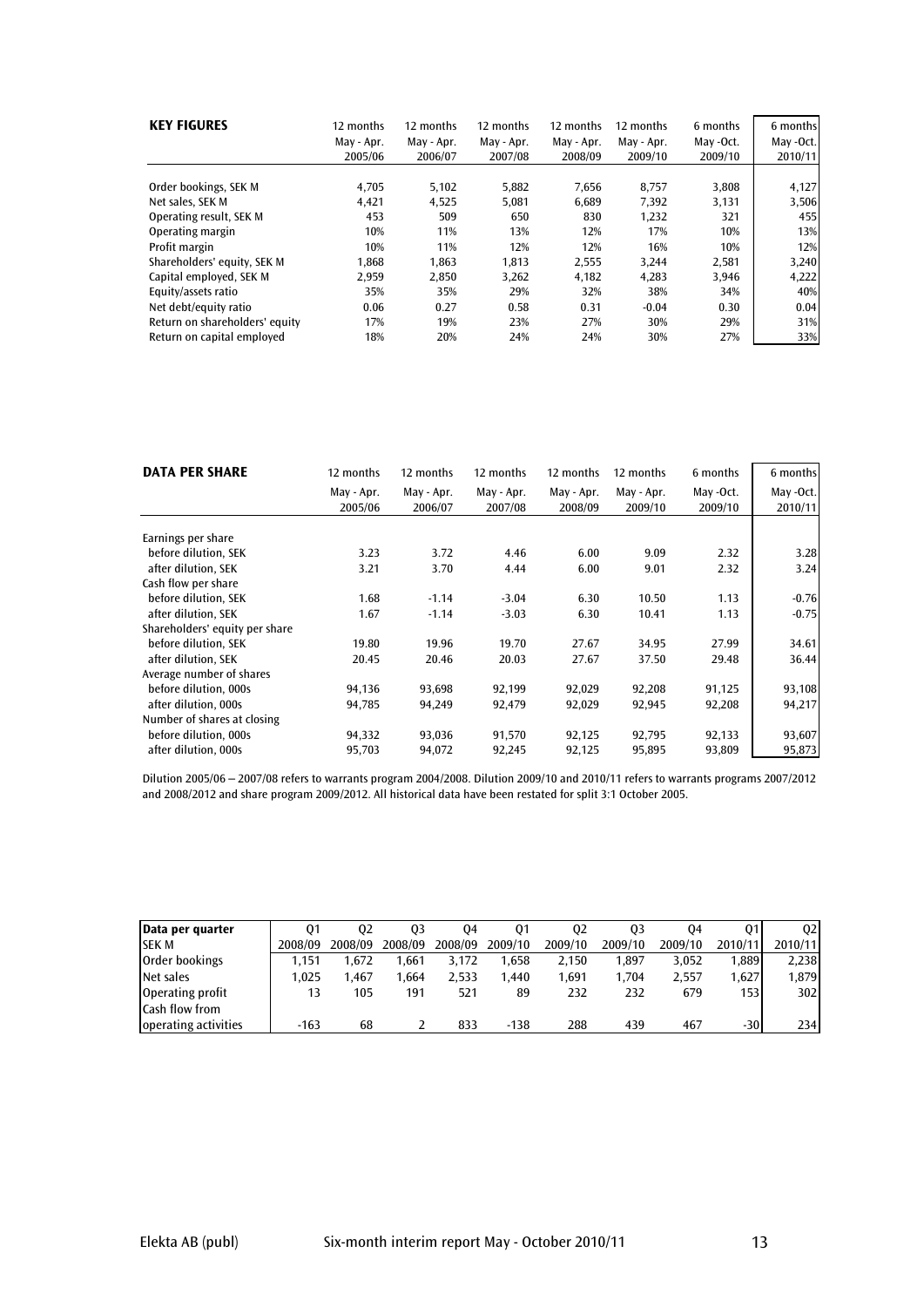| <b>KEY FIGURES</b>             | 12 months<br>May - Apr.<br>2005/06 | 12 months<br>May - Apr.<br>2006/07 | 12 months<br>May - Apr.<br>2007/08 | 12 months<br>May - Apr.<br>2008/09 | 12 months<br>May - Apr.<br>2009/10 | 6 months<br>May -Oct.<br>2009/10 | 6 months<br>May -Oct.<br>2010/11 |
|--------------------------------|------------------------------------|------------------------------------|------------------------------------|------------------------------------|------------------------------------|----------------------------------|----------------------------------|
|                                |                                    |                                    |                                    |                                    |                                    |                                  |                                  |
| Order bookings, SEK M          | 4,705                              | 5,102                              | 5,882                              | 7,656                              | 8,757                              | 3,808                            | 4,127                            |
| Net sales, SEK M               | 4,421                              | 4,525                              | 5,081                              | 6,689                              | 7,392                              | 3,131                            | 3,506                            |
| Operating result, SEK M        | 453                                | 509                                | 650                                | 830                                | 1,232                              | 321                              | 455                              |
| Operating margin               | 10%                                | 11%                                | 13%                                | 12%                                | 17%                                | 10%                              | 13%                              |
| Profit margin                  | 10%                                | 11%                                | 12%                                | 12%                                | 16%                                | 10%                              | 12%                              |
| Shareholders' equity, SEK M    | 1,868                              | 1,863                              | 1,813                              | 2,555                              | 3.244                              | 2,581                            | 3,240                            |
| Capital employed, SEK M        | 2,959                              | 2,850                              | 3,262                              | 4,182                              | 4,283                              | 3,946                            | 4,222                            |
| Equity/assets ratio            | 35%                                | 35%                                | 29%                                | 32%                                | 38%                                | 34%                              | 40%                              |
| Net debt/equity ratio          | 0.06                               | 0.27                               | 0.58                               | 0.31                               | $-0.04$                            | 0.30                             | 0.04                             |
| Return on shareholders' equity | 17%                                | 19%                                | 23%                                | 27%                                | 30%                                | 29%                              | 31%                              |
| Return on capital employed     | 18%                                | 20%                                | 24%                                | 24%                                | 30%                                | 27%                              | 33%                              |

| <b>DATA PER SHARE</b>          | 12 months  | 12 months  | 12 months  | 12 months  | 12 months  | 6 months  | 6 months  |
|--------------------------------|------------|------------|------------|------------|------------|-----------|-----------|
|                                | May - Apr. | May - Apr. | May - Apr. | May - Apr. | May - Apr. | May -Oct. | May -Oct. |
|                                | 2005/06    | 2006/07    | 2007/08    | 2008/09    | 2009/10    | 2009/10   | 2010/11   |
| Earnings per share             |            |            |            |            |            |           |           |
| before dilution, SEK           | 3.23       | 3.72       | 4.46       | 6.00       | 9.09       | 2.32      | 3.28      |
|                                |            |            |            |            |            |           |           |
| after dilution, SEK            | 3.21       | 3.70       | 4.44       | 6.00       | 9.01       | 2.32      | 3.24      |
| Cash flow per share            |            |            |            |            |            |           |           |
| before dilution, SEK           | 1.68       | $-1.14$    | $-3.04$    | 6.30       | 10.50      | 1.13      | $-0.76$   |
| after dilution, SEK            | 1.67       | $-1.14$    | $-3.03$    | 6.30       | 10.41      | 1.13      | $-0.75$   |
| Shareholders' equity per share |            |            |            |            |            |           |           |
| before dilution. SEK           | 19.80      | 19.96      | 19.70      | 27.67      | 34.95      | 27.99     | 34.61     |
| after dilution, SEK            | 20.45      | 20.46      | 20.03      | 27.67      | 37.50      | 29.48     | 36.44     |
| Average number of shares       |            |            |            |            |            |           |           |
| before dilution, 000s          | 94,136     | 93,698     | 92,199     | 92,029     | 92,208     | 91,125    | 93,108    |
| after dilution, 000s           | 94,785     | 94,249     | 92,479     | 92,029     | 92,945     | 92,208    | 94,217    |
| Number of shares at closing    |            |            |            |            |            |           |           |
| before dilution, 000s          | 94,332     | 93,036     | 91,570     | 92,125     | 92,795     | 92,133    | 93,607    |
| after dilution, 000s           | 95,703     | 94,072     | 92,245     | 92,125     | 95,895     | 93,809    | 95,873    |

Dilution 2005/06 – 2007/08 refers to warrants program 2004/2008. Dilution 2009/10 and 2010/11 refers to warrants programs 2007/2012 and 2008/2012 and share program 2009/2012. All historical data have been restated for split 3:1 October 2005.

| Data per quarter     | 01      | 02      | 03      | 04      | 01      | 02      | 03      | 04      |         | 02      |
|----------------------|---------|---------|---------|---------|---------|---------|---------|---------|---------|---------|
| <b>SEK M</b>         | 2008/09 | 2008/09 | 2008/09 | 2008/09 | 2009/10 | 2009/10 | 2009/10 | 2009/10 | 2010/11 | 2010/11 |
| Order bookings       | 1.151   | 1.672   | .661    | 3.172   | 1.658   | 2.150   | .897    | 3.052   | 1.889   | 2.238   |
| Net sales            | 1.025   | .467    | .664    | 2.533   | 1.440   | 1.691   | 1.704   | 2.557   | 1.627   | 1.879   |
| Operating profit     | 13      | 105     | 191     | 521     | 89      | 232     | 232     | 679     | 153     | 302     |
| Cash flow from       |         |         |         |         |         |         |         |         |         |         |
| operating activities | $-163$  | 68      |         | 833     | $-138$  | 288     | 439     | 467     | $-30$   | 234     |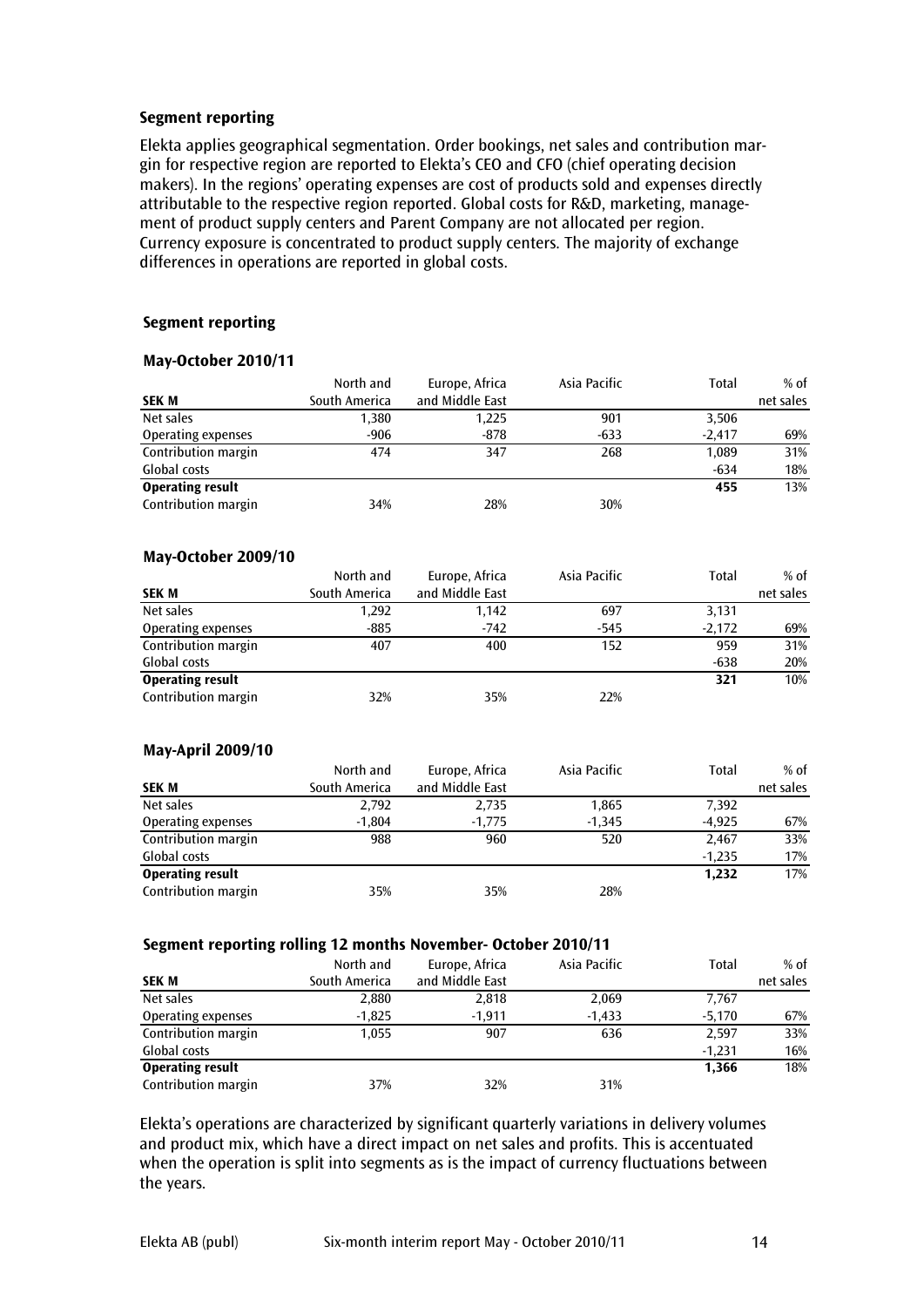## Segment reporting

Elekta applies geographical segmentation. Order bookings, net sales and contribution margin for respective region are reported to Elekta's CEO and CFO (chief operating decision makers). In the regions' operating expenses are cost of products sold and expenses directly attributable to the respective region reported. Global costs for R&D, marketing, management of product supply centers and Parent Company are not allocated per region. Currency exposure is concentrated to product supply centers. The majority of exchange differences in operations are reported in global costs.

#### Segment reporting

#### May-October 2010/11

|                         | North and     | Europe, Africa  | Asia Pacific | Total    | $%$ of    |
|-------------------------|---------------|-----------------|--------------|----------|-----------|
| <b>SEK M</b>            | South America | and Middle East |              |          | net sales |
| Net sales               | 1,380         | 1,225           | 901          | 3,506    |           |
| Operating expenses      | $-906$        | $-878$          | $-633$       | $-2.417$ | 69%       |
| Contribution margin     | 474           | 347             | 268          | 1.089    | 31%       |
| Global costs            |               |                 |              | $-634$   | 18%       |
| <b>Operating result</b> |               |                 |              | 455      | 13%       |
| Contribution margin     | 34%           | 28%             | 30%          |          |           |

#### May-October 2009/10

|                         | North and     | Europe, Africa  | Asia Pacific | Total    | $%$ of    |
|-------------------------|---------------|-----------------|--------------|----------|-----------|
| <b>SEK M</b>            | South America | and Middle East |              |          | net sales |
| Net sales               | 1,292         | 1.142           | 697          | 3,131    |           |
| Operating expenses      | $-885$        | $-742$          | -545         | $-2,172$ | 69%       |
| Contribution margin     | 407           | 400             | 152          | 959      | 31%       |
| Global costs            |               |                 |              | $-638$   | 20%       |
| <b>Operating result</b> |               |                 |              | 321      | 10%       |
| Contribution margin     | 32%           | 35%             | 22%          |          |           |

#### May-April 2009/10

|                         | North and     | Europe, Africa  | Asia Pacific | Total    | $%$ of    |
|-------------------------|---------------|-----------------|--------------|----------|-----------|
| <b>SEK M</b>            | South America | and Middle East |              |          | net sales |
| Net sales               | 2,792         | 2,735           | 1,865        | 7,392    |           |
| Operating expenses      | $-1,804$      | $-1,775$        | $-1,345$     | $-4.925$ | 67%       |
| Contribution margin     | 988           | 960             | 520          | 2.467    | 33%       |
| Global costs            |               |                 |              | $-1.235$ | 17%       |
| <b>Operating result</b> |               |                 |              | 1,232    | 17%       |
| Contribution margin     | 35%           | 35%             | 28%          |          |           |

#### Segment reporting rolling 12 months November- October 2010/11

| <b>SEK M</b>            | North and<br>South America | Europe, Africa<br>and Middle East | Asia Pacific | Total    | $%$ of<br>net sales |
|-------------------------|----------------------------|-----------------------------------|--------------|----------|---------------------|
| Net sales               | 2,880                      | 2,818                             | 2,069        | 7,767    |                     |
| Operating expenses      | $-1,825$                   | $-1,911$                          | $-1,433$     | $-5,170$ | 67%                 |
| Contribution margin     | 1,055                      | 907                               | 636          | 2.597    | 33%                 |
| Global costs            |                            |                                   |              | $-1.231$ | 16%                 |
| <b>Operating result</b> |                            |                                   |              | 1.366    | 18%                 |
| Contribution margin     | 37%                        | 32%                               | 31%          |          |                     |

Elekta's operations are characterized by significant quarterly variations in delivery volumes and product mix, which have a direct impact on net sales and profits. This is accentuated when the operation is split into segments as is the impact of currency fluctuations between the years.